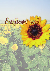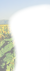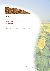

# **Contents**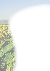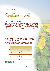# **COMMODITY PROFILE**



## **1. DESCRIPTION OF THE INDUSTRY**

Sunflower seed is primarily used for the manufacturing of sunflower oil and oilcake. In South Africa, sunflowers are well adapted in both hot and dry climate. The seed can be consumed after the hull has been removed as a snack or used for different oil production. Most of the seed produced is marketed locally to expressers, animal feed and for seed. Sunflower is the third largest grain crop produced in South Africa after maize and wheat. For the past ten years production amounted to 700 000 tons on average, while the gross value is approximated at 1 million tons. South Africa is not a significant roleplayer in the production and trade of oilseeds in the international market since it contributes only 3 % to the sunflower seed produced in the world.

The gross value of sunflower seed produced in South Africa has been relatively volatile for the past ten years. From figure 1 below there is an indication of cyclical behavjour of the gross, which can be associated with the cycle of the prices received of sunflower seed. Another factor, which should not be ignored is the dismantling of the marketing boards, which coincided with the period under consideration. During 2004/05 sunflower seed production contributed approximately 1.2 % to the gross value of agricultural production.



Information on the number of producers of sunflower is not available, but industry sources believe the number of producers is just slightly lower than the

FIG. 1. Gross value of sunflower seed Source: DoA, Agricultural Statistics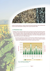

number of maize producers, owing to the fact that farmers plant both crops simultaneously as part of their diversification strategy (FPMC report December 2003)

#### **1.1 Production areas**

Sunflower seed is produced mostly in the six provinces out of the nine provinces excluding Western Cape, Eastern Cape and KwaZulu-Natal. North West and Free State produce a significant number of approximately 85 % of sunflower seed. Sunflower seed can be planted from the beginning of November to the end of December, which is almost the same time for maize plantings.

The hectares planted for sunflower seed have been volatile for the past ten years, with an average annual growth of only 1,8 %. Only in recent seasons hectares planted have stabilised at around 600 000 hectares per annum.



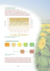# **1.2 Production trends**

Production of sunflower seed has an inverse relationship with the production and prices of maize. This can be ascertained by the large production experienced in 1998/99 where production of maize was lower, owing to unfavourable weather conditions in that particular season. Over the past ten years production has increased by 5 %.





# **2. MARKETING STRUCTURE**



Source: GrainSA

During pressing there are two different methods of extracting oil from the oilseeds i.e. production of crude oil and production of oil cakes from hexane. Sunflower seed provides  $40 - 50$  % of oil and about 40 % of oilcake, which is processed to cooking oil and for animal feed respectively; see diagram 1 above. Other oil products include margarine, fuel in diesel engines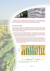

and other foods. The sunflower seed also produces oil cake, which is widely used for animal foods because of its high protein content. Sunflower oil is marketed in the form of refined oil for domestic and industrial cooking as well as baking processes.

#### **2.1 Domestic markets**

The processing of sunflower seed is highly capital intensive and requires high technology and specialised knowledge. The refining process produces sunflower oil, which is used mostly for cooking. Most of the large refineries are situated in Gauteng and KwaZulu-Natal, this may be due to market based.

The most importance of sunflower production is the extraction of oil from the seed. South Africa has produced about 230 000 tons of sunflower oil for the past ten years, which represents about 30 % of the seed produced. The industry does not import any significant sunflower seed but import sunflower crude oil.

Forthepasttenvearsthequantity of sunflower crude oil imported has decreased by 17%. which indicates that the processors were able to source their input cheaply than in the international market. Specifically during 2002 imports amounted to only 4 000 tons, which was mostly affected by the depreciated exchange rate hence it was expensive to import.



FIG. 4. Production and imports of sunflower oil in South Africa Source: DoA, Agricultural Statistics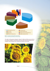

**Figure 5: Largest pressing plants South Africa** *Source: Food Pricing Monitoring Committee Report*

The eight crushing plants indicated in (figure 5) utilise just little over one third of the capacity available in South Africa since they yield more than 300 000 tons of sunflower meal annually of the 700 000 tons produce of the seed.

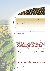



Figure 6: Average producer prices Source: Abstract of Agricultural Statistics

## **2.2 Producer prices**

The sunflower seed is one of the commodities traded on SAFEX (South African Futures Exchange). The SAFEX price serves as an indicator for producers to what they can ask for their produce in the market, as at the current marketing system they are responsible for marketing their produce. The price of sunflower seed is definitely dependent on local demand and supply factors, also important are the demand and supply of the international market. The international oil prices act as a guideline for domestic seed and oil prices. In particular, the situation of the Argentinean oil market has a significant impact on the local market since the Argentina oil market has the same marketing period of sunflower seed as South African producers (FPMC report 2003). The sunflower seed price is determined at import parity.

The prices producers received for sunflower oil has been around R1 000 per ton prior to the year 2000, then increased to just over R1 500 to date.

## **3. STRATEGIC CHALLENGES**

As mentioned in the description the sunflower seed production is very suitable for South African climate conditions and is performing well in income generation to the rest of the agriculture sector. According to the FPMC report in 2003 the crushing capacity is not fully utilised by the companies therefore, there is an opportunity for any roleplayer in the industry to crush